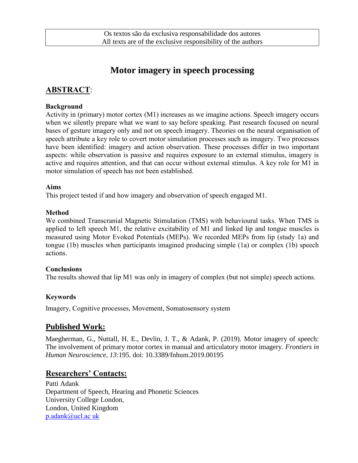# **Motor imagery in speech processing**

# **ABSTRACT**:

#### **Background**

Activity in (primary) motor cortex (M1) increases as we imagine actions. Speech imagery occurs when we silently prepare what we want to say before speaking. Past research focused on neural bases of gesture imagery only and not on speech imagery. Theories on the neural organisation of speech attribute a key role to covert motor simulation processes such as imagery. Two processes have been identified: imagery and action observation. These processes differ in two important aspects: while observation is passive and requires exposure to an external stimulus, imagery is active and requires attention, and that can occur without external stimulus. A key role for M1 in motor simulation of speech has not been established.

#### **Aims**

This project tested if and how imagery and observation of speech engaged M1.

#### **Method**

We combined Transcranial Magnetic Stimulation (TMS) with behavioural tasks. When TMS is applied to left speech M1, the relative excitability of M1 and linked lip and tongue muscles is measured using Motor Evoked Potentials (MEPs). We recorded MEPs from lip (study 1a) and tongue (1b) muscles when participants imagined producing simple (1a) or complex (1b) speech actions.

#### **Conclusions**

The results showed that lip M1 was only in imagery of complex (but not simple) speech actions.

#### **Keywords**

Imagery, Cognitive processes, Movement, Somatosensory system

## **Published Work:**

Maegherman, G., Nuttall, H. E., Devlin, J. T., & Adank, P. (2019). Motor imagery of speech: The involvement of primary motor cortex in manual and articulatory motor imagery. *Frontiers in Human Neuroscience, 13*:195. doi: 10.3389/fnhum.2019.00195

## **Researchers' Contacts:**

Patti Adank Department of Speech, Hearing and Phonetic Sciences University College London, London, United Kingdom p.adank@ucl.ac uk